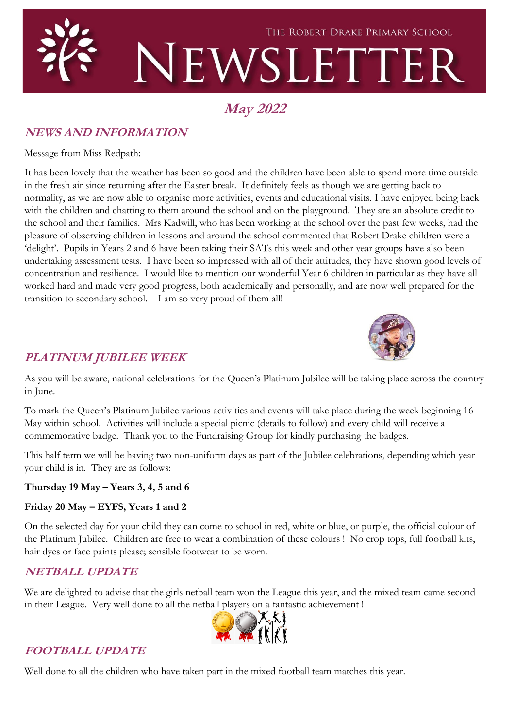

# **May 2022**

# **NEWS AND INFORMATION**

Message from Miss Redpath:

It has been lovely that the weather has been so good and the children have been able to spend more time outside in the fresh air since returning after the Easter break. It definitely feels as though we are getting back to normality, as we are now able to organise more activities, events and educational visits. I have enjoyed being back with the children and chatting to them around the school and on the playground. They are an absolute credit to the school and their families. Mrs Kadwill, who has been working at the school over the past few weeks, had the pleasure of observing children in lessons and around the school commented that Robert Drake children were a 'delight'. Pupils in Years 2 and 6 have been taking their SATs this week and other year groups have also been undertaking assessment tests. I have been so impressed with all of their attitudes, they have shown good levels of concentration and resilience. I would like to mention our wonderful Year 6 children in particular as they have all worked hard and made very good progress, both academically and personally, and are now well prepared for the transition to secondary school. I am so very proud of them all!



## **PLATINUM JUBILEE WEEK**

As you will be aware, national celebrations for the Queen's Platinum Jubilee will be taking place across the country in June.

To mark the Queen's Platinum Jubilee various activities and events will take place during the week beginning 16 May within school. Activities will include a special picnic (details to follow) and every child will receive a commemorative badge. Thank you to the Fundraising Group for kindly purchasing the badges.

This half term we will be having two non-uniform days as part of the Jubilee celebrations, depending which year your child is in. They are as follows:

#### **Thursday 19 May – Years 3, 4, 5 and 6**

#### **Friday 20 May – EYFS, Years 1 and 2**

On the selected day for your child they can come to school in red, white or blue, or purple, the official colour of the Platinum Jubilee. Children are free to wear a combination of these colours ! No crop tops, full football kits, hair dyes or face paints please; sensible footwear to be worn.

## **NETBALL UPDATE**

We are delighted to advise that the girls netball team won the League this year, and the mixed team came second in their League. Very well done to all the netball players on a fantastic achievement !



# **FOOTBALL UPDATE**

Well done to all the children who have taken part in the mixed football team matches this year.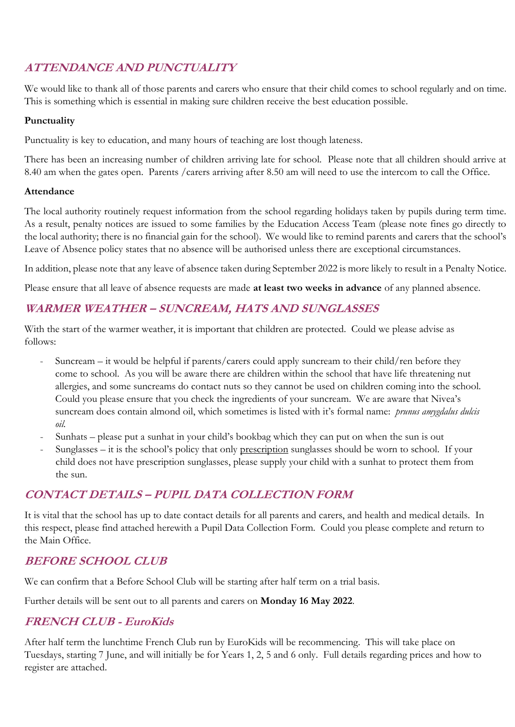# **ATTENDANCE AND PUNCTUALITY**

We would like to thank all of those parents and carers who ensure that their child comes to school regularly and on time. This is something which is essential in making sure children receive the best education possible.

#### **Punctuality**

Punctuality is key to education, and many hours of teaching are lost though lateness.

There has been an increasing number of children arriving late for school. Please note that all children should arrive at 8.40 am when the gates open. Parents /carers arriving after 8.50 am will need to use the intercom to call the Office.

#### **Attendance**

The local authority routinely request information from the school regarding holidays taken by pupils during term time. As a result, penalty notices are issued to some families by the Education Access Team (please note fines go directly to the local authority; there is no financial gain for the school). We would like to remind parents and carers that the school's Leave of Absence policy states that no absence will be authorised unless there are exceptional circumstances.

In addition, please note that any leave of absence taken during September 2022 is more likely to result in a Penalty Notice.

Please ensure that all leave of absence requests are made **at least two weeks in advance** of any planned absence.

## **WARMER WEATHER – SUNCREAM, HATS AND SUNGLASSES**

With the start of the warmer weather, it is important that children are protected. Could we please advise as follows:

- Suncream it would be helpful if parents/carers could apply suncream to their child/ren before they come to school. As you will be aware there are children within the school that have life threatening nut allergies, and some suncreams do contact nuts so they cannot be used on children coming into the school. Could you please ensure that you check the ingredients of your suncream. We are aware that Nivea's suncream does contain almond oil, which sometimes is listed with it's formal name: *prunus amygdalus dulcis oil.*
- Sunhats please put a sunhat in your child's bookbag which they can put on when the sun is out
- Sunglasses it is the school's policy that only prescription sunglasses should be worn to school. If your child does not have prescription sunglasses, please supply your child with a sunhat to protect them from the sun.

# **CONTACT DETAILS – PUPIL DATA COLLECTION FORM**

It is vital that the school has up to date contact details for all parents and carers, and health and medical details. In this respect, please find attached herewith a Pupil Data Collection Form. Could you please complete and return to the Main Office.

## **BEFORE SCHOOL CLUB**

We can confirm that a Before School Club will be starting after half term on a trial basis.

Further details will be sent out to all parents and carers on **Monday 16 May 2022**.

## **FRENCH CLUB - EuroKids**

After half term the lunchtime French Club run by EuroKids will be recommencing. This will take place on Tuesdays, starting 7 June, and will initially be for Years 1, 2, 5 and 6 only. Full details regarding prices and how to register are attached.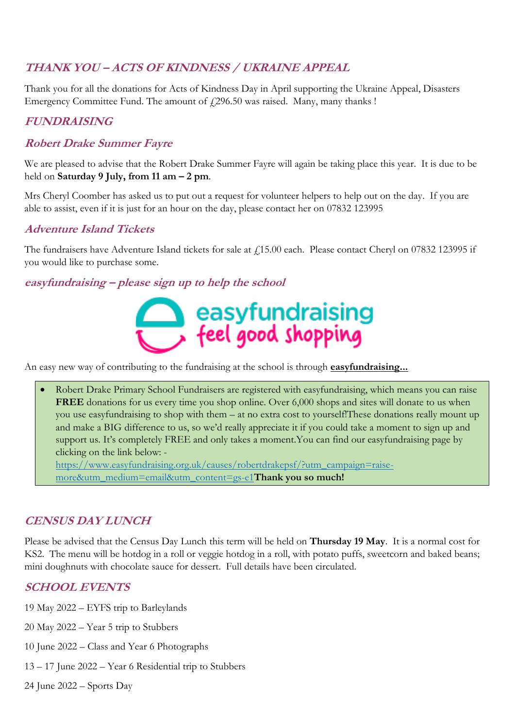# **THANK YOU – ACTS OF KINDNESS / UKRAINE APPEAL**

Thank you for all the donations for Acts of Kindness Day in April supporting the Ukraine Appeal, Disasters Emergency Committee Fund. The amount of  $f(296.50 \text{ was raised. } \text{Many, many thanks } !$ 

## **FUNDRAISING**

#### **Robert Drake Summer Fayre**

We are pleased to advise that the Robert Drake Summer Fayre will again be taking place this year. It is due to be held on **Saturday 9 July, from 11 am – 2 pm**.

Mrs Cheryl Coomber has asked us to put out a request for volunteer helpers to help out on the day. If you are able to assist, even if it is just for an hour on the day, please contact her on 07832 123995

## **Adventure Island Tickets**

The fundraisers have Adventure Island tickets for sale at £15.00 each. Please contact Cheryl on 07832 123995 if you would like to purchase some.

#### **easyfundraising – please sign up to help the school**



An easy new way of contributing to the fundraising at the school is through **easyfundraising...**

• Robert Drake Primary School Fundraisers are registered with easyfundraising, which means you can raise **FREE** donations for us every time you shop online. Over 6,000 shops and sites will donate to us when you use easyfundraising to shop with them – at no extra cost to yourself!These donations really mount up and make a BIG difference to us, so we'd really appreciate it if you could take a moment to sign up and support us. It's completely FREE and only takes a moment.You can find our easyfundraising page by clicking on the link below: -

[https://www.easyfundraising.org.uk/causes/robertdrakepsf/?utm\\_campaign=raise](https://www.easyfundraising.org.uk/causes/robertdrakepsf/?utm_campaign=raise-more&utm_medium=email&utm_content=gs-e1)[more&utm\\_medium=email&utm\\_content=gs-e1](https://www.easyfundraising.org.uk/causes/robertdrakepsf/?utm_campaign=raise-more&utm_medium=email&utm_content=gs-e1)**Thank you so much!**

## **CENSUS DAY LUNCH**

Please be advised that the Census Day Lunch this term will be held on **Thursday 19 May**. It is a normal cost for KS2. The menu will be hotdog in a roll or veggie hotdog in a roll, with potato puffs, sweetcorn and baked beans; mini doughnuts with chocolate sauce for dessert. Full details have been circulated.

## **SCHOOL EVENTS**

19 May 2022 – EYFS trip to Barleylands

- 20 May 2022 Year 5 trip to Stubbers
- 10 June 2022 Class and Year 6 Photographs
- 13 17 June 2022 Year 6 Residential trip to Stubbers
- 24 June 2022 Sports Day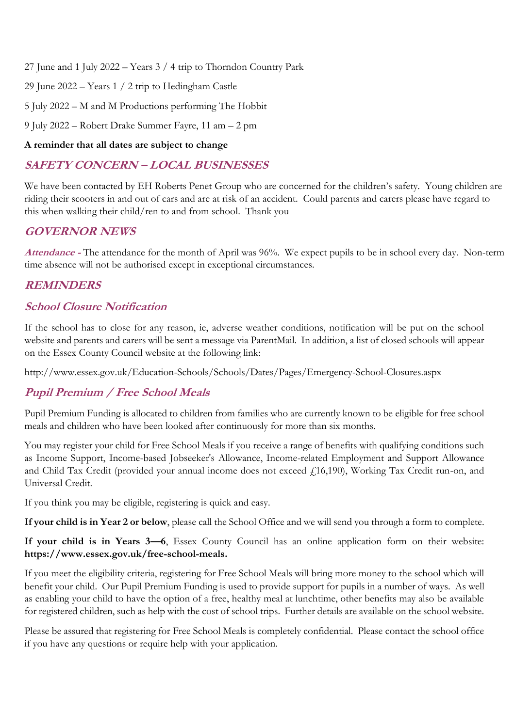27 June and 1 July 2022 – Years 3 / 4 trip to Thorndon Country Park

29 June 2022 – Years 1 / 2 trip to Hedingham Castle

5 July 2022 – M and M Productions performing The Hobbit

9 July 2022 – Robert Drake Summer Fayre, 11 am – 2 pm

#### **A reminder that all dates are subject to change**

## **SAFETY CONCERN – LOCAL BUSINESSES**

We have been contacted by EH Roberts Penet Group who are concerned for the children's safety. Young children are riding their scooters in and out of cars and are at risk of an accident. Could parents and carers please have regard to this when walking their child/ren to and from school. Thank you

#### **GOVERNOR NEWS**

**Attendance -** The attendance for the month of April was 96%. We expect pupils to be in school every day. Non-term time absence will not be authorised except in exceptional circumstances.

#### **REMINDERS**

#### **School Closure Notification**

If the school has to close for any reason, ie, adverse weather conditions, notification will be put on the school website and parents and carers will be sent a message via ParentMail. In addition, a list of closed schools will appear on the Essex County Council website at the following link:

http://www.essex.gov.uk/Education-Schools/Schools/Dates/Pages/Emergency-School-Closures.aspx

# **Pupil Premium / Free School Meals**

Pupil Premium Funding is allocated to children from families who are currently known to be eligible for free school meals and children who have been looked after continuously for more than six months.

You may register your child for Free School Meals if you receive a range of benefits with qualifying conditions such as Income Support, Income-based Jobseeker's Allowance, Income-related Employment and Support Allowance and Child Tax Credit (provided your annual income does not exceed £16,190), Working Tax Credit run-on, and Universal Credit.

If you think you may be eligible, registering is quick and easy.

**If your child is in Year 2 or below**, please call the School Office and we will send you through a form to complete.

**If your child is in Years 3—6**, Essex County Council has an online application form on their website: **https://www.essex.gov.uk/free-school-meals.**

If you meet the eligibility criteria, registering for Free School Meals will bring more money to the school which will benefit your child. Our Pupil Premium Funding is used to provide support for pupils in a number of ways. As well as enabling your child to have the option of a free, healthy meal at lunchtime, other benefits may also be available for registered children, such as help with the cost of school trips. Further details are available on the school website.

Please be assured that registering for Free School Meals is completely confidential. Please contact the school office if you have any questions or require help with your application.